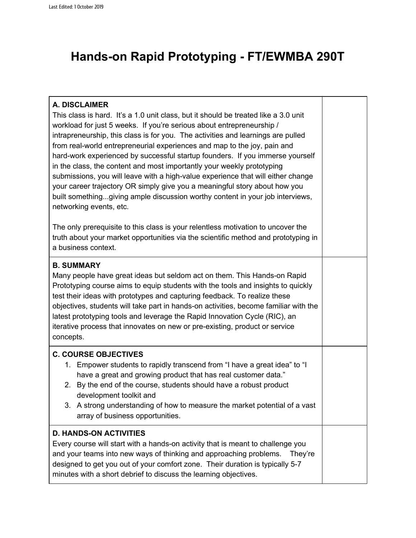# **Hands-on Rapid Prototyping - FT/EWMBA 290T**

## **A. DISCLAIMER**

This class is hard. It's a 1.0 unit class, but it should be treated like a 3.0 unit workload for just 5 weeks. If you're serious about entrepreneurship / intrapreneurship, this class is for you. The activities and learnings are pulled from real-world entrepreneurial experiences and map to the joy, pain and hard-work experienced by successful startup founders. If you immerse yourself in the class, the content and most importantly your weekly prototyping submissions, you will leave with a high-value experience that will either change your career trajectory OR simply give you a meaningful story about how you built something...giving ample discussion worthy content in your job interviews, networking events, etc.

The only prerequisite to this class is your relentless motivation to uncover the truth about your market opportunities via the scientific method and prototyping in a business context.

## **B. SUMMARY**

Many people have great ideas but seldom act on them. This Hands-on Rapid Prototyping course aims to equip students with the tools and insights to quickly test their ideas with prototypes and capturing feedback. To realize these objectives, students will take part in hands-on activities, become familiar with the latest prototyping tools and leverage the Rapid Innovation Cycle (RIC), an iterative process that innovates on new or pre-existing, product or service concepts.

### **C. COURSE OBJECTIVES**

- 1. Empower students to rapidly transcend from "I have a great idea" to "I have a great and growing product that has real customer data."
- 2. By the end of the course, students should have a robust product development toolkit and
- 3. A strong understanding of how to measure the market potential of a vast array of business opportunities.

### **D. HANDS-ON ACTIVITIES**

Every course will start with a hands-on activity that is meant to challenge you and your teams into new ways of thinking and approaching problems. They're designed to get you out of your comfort zone. Their duration is typically 5-7 minutes with a short debrief to discuss the learning objectives.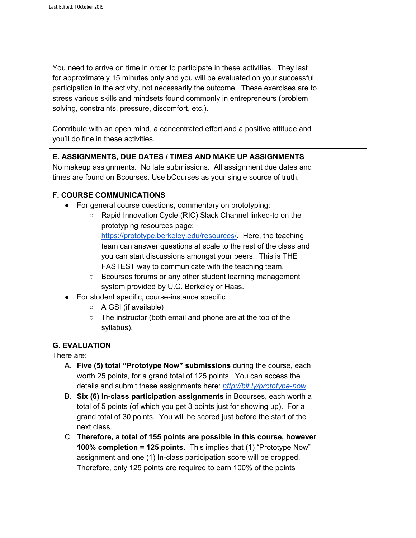| You need to arrive on time in order to participate in these activities. They last<br>for approximately 15 minutes only and you will be evaluated on your successful<br>participation in the activity, not necessarily the outcome. These exercises are to<br>stress various skills and mindsets found commonly in entrepreneurs (problem<br>solving, constraints, pressure, discomfort, etc.).<br>Contribute with an open mind, a concentrated effort and a positive attitude and<br>you'll do fine in these activities.                                                                                                                                                                                                                                    |  |  |  |  |  |
|-------------------------------------------------------------------------------------------------------------------------------------------------------------------------------------------------------------------------------------------------------------------------------------------------------------------------------------------------------------------------------------------------------------------------------------------------------------------------------------------------------------------------------------------------------------------------------------------------------------------------------------------------------------------------------------------------------------------------------------------------------------|--|--|--|--|--|
| E. ASSIGNMENTS, DUE DATES / TIMES AND MAKE UP ASSIGNMENTS<br>No makeup assignments. No late submissions. All assignment due dates and<br>times are found on Bcourses. Use bCourses as your single source of truth.                                                                                                                                                                                                                                                                                                                                                                                                                                                                                                                                          |  |  |  |  |  |
| <b>F. COURSE COMMUNICATIONS</b><br>For general course questions, commentary on prototyping:<br>Rapid Innovation Cycle (RIC) Slack Channel linked-to on the<br>$\circ$<br>prototyping resources page:<br>https://prototype.berkeley.edu/resources/. Here, the teaching<br>team can answer questions at scale to the rest of the class and<br>you can start discussions amongst your peers. This is THE<br>FASTEST way to communicate with the teaching team.<br>Bcourses forums or any other student learning management<br>$\circ$<br>system provided by U.C. Berkeley or Haas.<br>For student specific, course-instance specific<br>A GSI (if available)<br>$\circ$<br>The instructor (both email and phone are at the top of the<br>$\circ$<br>syllabus). |  |  |  |  |  |
| <b>G. EVALUATION</b>                                                                                                                                                                                                                                                                                                                                                                                                                                                                                                                                                                                                                                                                                                                                        |  |  |  |  |  |
| There are:<br>A. Five (5) total "Prototype Now" submissions during the course, each                                                                                                                                                                                                                                                                                                                                                                                                                                                                                                                                                                                                                                                                         |  |  |  |  |  |
| worth 25 points, for a grand total of 125 points. You can access the<br>details and submit these assignments here: http://bit.ly/prototype-now<br>B. Six (6) In-class participation assignments in Bcourses, each worth a<br>total of 5 points (of which you get 3 points just for showing up). For a<br>grand total of 30 points. You will be scored just before the start of the<br>next class.                                                                                                                                                                                                                                                                                                                                                           |  |  |  |  |  |
| C. Therefore, a total of 155 points are possible in this course, however<br>100% completion = 125 points. This implies that (1) "Prototype Now"<br>assignment and one (1) In-class participation score will be dropped.<br>Therefore, only 125 points are required to earn 100% of the points                                                                                                                                                                                                                                                                                                                                                                                                                                                               |  |  |  |  |  |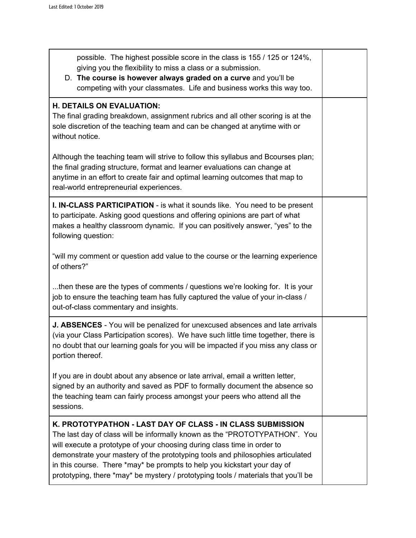| possible. The highest possible score in the class is 155 / 125 or 124%,<br>giving you the flexibility to miss a class or a submission.<br>D. The course is however always graded on a curve and you'll be<br>competing with your classmates. Life and business works this way too.                                                                                                                                                                                      |
|-------------------------------------------------------------------------------------------------------------------------------------------------------------------------------------------------------------------------------------------------------------------------------------------------------------------------------------------------------------------------------------------------------------------------------------------------------------------------|
| <b>H. DETAILS ON EVALUATION:</b><br>The final grading breakdown, assignment rubrics and all other scoring is at the<br>sole discretion of the teaching team and can be changed at anytime with or<br>without notice.                                                                                                                                                                                                                                                    |
| Although the teaching team will strive to follow this syllabus and Bcourses plan;<br>the final grading structure, format and learner evaluations can change at<br>anytime in an effort to create fair and optimal learning outcomes that map to<br>real-world entrepreneurial experiences.                                                                                                                                                                              |
| I. IN-CLASS PARTICIPATION - is what it sounds like. You need to be present<br>to participate. Asking good questions and offering opinions are part of what<br>makes a healthy classroom dynamic. If you can positively answer, "yes" to the<br>following question:                                                                                                                                                                                                      |
| "will my comment or question add value to the course or the learning experience<br>of others?"                                                                                                                                                                                                                                                                                                                                                                          |
| then these are the types of comments / questions we're looking for. It is your<br>job to ensure the teaching team has fully captured the value of your in-class /<br>out-of-class commentary and insights.                                                                                                                                                                                                                                                              |
| J. ABSENCES - You will be penalized for unexcused absences and late arrivals<br>(via your Class Participation scores). We have such little time together, there is<br>no doubt that our learning goals for you will be impacted if you miss any class or<br>portion thereof.                                                                                                                                                                                            |
| If you are in doubt about any absence or late arrival, email a written letter,<br>signed by an authority and saved as PDF to formally document the absence so<br>the teaching team can fairly process amongst your peers who attend all the<br>sessions.                                                                                                                                                                                                                |
| K. PROTOTYPATHON - LAST DAY OF CLASS - IN CLASS SUBMISSION<br>The last day of class will be informally known as the "PROTOTYPATHON". You<br>will execute a prototype of your choosing during class time in order to<br>demonstrate your mastery of the prototyping tools and philosophies articulated<br>in this course. There *may* be prompts to help you kickstart your day of<br>prototyping, there *may* be mystery / prototyping tools / materials that you'll be |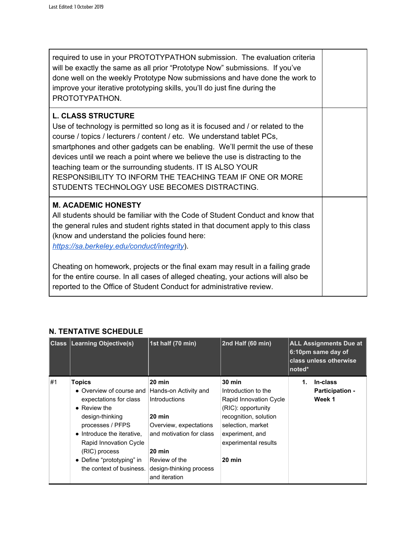| required to use in your PROTOTYPATHON submission. The evaluation criteria<br>will be exactly the same as all prior "Prototype Now" submissions. If you've<br>done well on the weekly Prototype Now submissions and have done the work to<br>improve your iterative prototyping skills, you'll do just fine during the<br>PROTOTYPATHON.                                                                                                                                                                                            |  |
|------------------------------------------------------------------------------------------------------------------------------------------------------------------------------------------------------------------------------------------------------------------------------------------------------------------------------------------------------------------------------------------------------------------------------------------------------------------------------------------------------------------------------------|--|
| <b>L. CLASS STRUCTURE</b><br>Use of technology is permitted so long as it is focused and / or related to the<br>course / topics / lecturers / content / etc. We understand tablet PCs,<br>smartphones and other gadgets can be enabling. We'll permit the use of these<br>devices until we reach a point where we believe the use is distracting to the<br>teaching team or the surrounding students. IT IS ALSO YOUR<br>RESPONSIBILITY TO INFORM THE TEACHING TEAM IF ONE OR MORE<br>STUDENTS TECHNOLOGY USE BECOMES DISTRACTING. |  |
| <b>M. ACADEMIC HONESTY</b><br>All students should be familiar with the Code of Student Conduct and know that<br>the general rules and student rights stated in that document apply to this class<br>(know and understand the policies found here:<br>https://sa.berkeley.edu/conduct/integrity).                                                                                                                                                                                                                                   |  |
| Cheating on homework, projects or the final exam may result in a failing grade<br>for the entire course. In all cases of alleged cheating, your actions will also be<br>reported to the Office of Student Conduct for administrative review.                                                                                                                                                                                                                                                                                       |  |

# **N. TENTATIVE SCHEDULE**

| <b>Class</b> | <b>Learning Objective(s)</b>                          | 1st half (70 min)                                         | 2nd Half (60 min)      | noted <sup>*</sup> | <b>ALL Assignments Due at</b><br>6:10pm same day of<br>class unless otherwise |
|--------------|-------------------------------------------------------|-----------------------------------------------------------|------------------------|--------------------|-------------------------------------------------------------------------------|
| #1           | Topics                                                | 20 min                                                    | <b>30 min</b>          | 1.                 | In-class                                                                      |
|              | • Overview of course and                              | Hands-on Activity and                                     | Introduction to the    |                    | Participation -                                                               |
|              | expectations for class                                | <b>Introductions</b>                                      | Rapid Innovation Cycle |                    | Week 1                                                                        |
|              | • Review the                                          |                                                           | (RIC): opportunity     |                    |                                                                               |
|              | design-thinking                                       | $20 \text{ min}$                                          | recognition, solution  |                    |                                                                               |
|              | processes / PFPS                                      | Overview, expectations                                    | selection, market      |                    |                                                                               |
|              | • Introduce the iterative,                            | and motivation for class                                  | experiment, and        |                    |                                                                               |
|              | Rapid Innovation Cycle                                |                                                           | experimental results   |                    |                                                                               |
|              | (RIC) process                                         | 20 min                                                    |                        |                    |                                                                               |
|              | • Define "prototyping" in<br>the context of business. | Review of the<br>design-thinking process<br>and iteration | $20 \text{ min}$       |                    |                                                                               |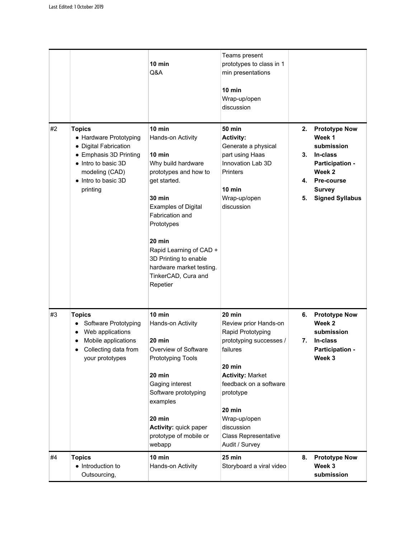| #2 | <b>Topics</b><br>• Hardware Prototyping<br>• Digital Fabrication<br>• Emphasis 3D Printing<br>• Intro to basic 3D<br>modeling (CAD)<br>• Intro to basic 3D<br>printing | Q&A<br>$10$ min<br>Hands-on Activity<br>$10$ min<br>Why build hardware<br>prototypes and how to<br>get started.<br><b>30 min</b><br><b>Examples of Digital</b><br>Fabrication and<br>Prototypes<br>20 min<br>Rapid Learning of CAD +<br>3D Printing to enable<br>hardware market testing.<br>TinkerCAD, Cura and<br>Repetier | min presentations<br>$10$ min<br>Wrap-up/open<br>discussion<br><b>50 min</b><br><b>Activity:</b><br>Generate a physical<br>part using Haas<br>Innovation Lab 3D<br>Printers<br>10 min<br>Wrap-up/open<br>discussion                                              | 2.<br>3.<br>4.<br>5. | <b>Prototype Now</b><br>Week 1<br>submission<br>In-class<br>Participation -<br>Week 2<br><b>Pre-course</b><br><b>Survey</b><br><b>Signed Syllabus</b> |
|----|------------------------------------------------------------------------------------------------------------------------------------------------------------------------|------------------------------------------------------------------------------------------------------------------------------------------------------------------------------------------------------------------------------------------------------------------------------------------------------------------------------|------------------------------------------------------------------------------------------------------------------------------------------------------------------------------------------------------------------------------------------------------------------|----------------------|-------------------------------------------------------------------------------------------------------------------------------------------------------|
| #3 | <b>Topics</b><br>Software Prototyping<br>Web applications<br>$\bullet$<br>Mobile applications<br>Collecting data from<br>your prototypes                               | 10 min<br>Hands-on Activity<br>20 min<br>Overview of Software<br>Prototyping Tools<br>20 min<br>Gaging interest<br>Software prototyping<br>examples<br>20 min<br>Activity: quick paper<br>prototype of mobile or<br>webapp                                                                                                   | 20 min<br>Review prior Hands-on<br>Rapid Prototyping<br>prototyping successes /<br>failures<br>20 min<br><b>Activity: Market</b><br>feedback on a software<br>prototype<br>20 min<br>Wrap-up/open<br>discussion<br><b>Class Representative</b><br>Audit / Survey | 6.<br>7.             | <b>Prototype Now</b><br>Week 2<br>submission<br>In-class<br><b>Participation -</b><br>Week 3                                                          |
| #4 | <b>Topics</b><br>• Introduction to<br>Outsourcing,                                                                                                                     | $10$ min<br>Hands-on Activity                                                                                                                                                                                                                                                                                                | 25 min<br>Storyboard a viral video                                                                                                                                                                                                                               | 8.                   | <b>Prototype Now</b><br>Week 3<br>submission                                                                                                          |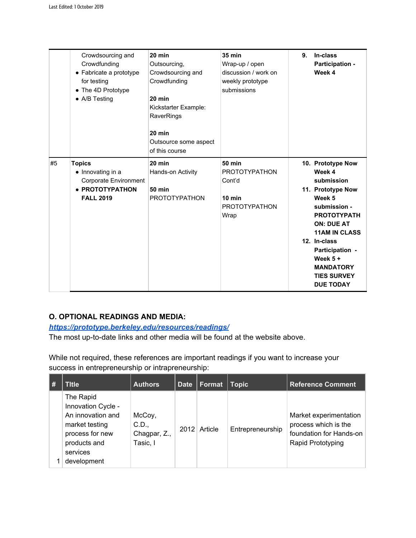|    | Crowdsourcing and<br>Crowdfunding<br>• Fabricate a prototype<br>for testing<br>• The 4D Prototype<br>$\bullet$ A/B Testing                                                           | $20$ min<br>Outsourcing,<br>Crowdsourcing and<br>Crowdfunding<br>$20$ min<br>Kickstarter Example:<br>RaverRings<br>$20$ min<br>Outsource some aspect<br>of this course | <b>35 min</b><br>Wrap-up / open<br>discussion / work on<br>weekly prototype<br>submissions  | 9. | In-class<br>Participation -<br>Week 4                                                                                                                                                                                                                                      |
|----|--------------------------------------------------------------------------------------------------------------------------------------------------------------------------------------|------------------------------------------------------------------------------------------------------------------------------------------------------------------------|---------------------------------------------------------------------------------------------|----|----------------------------------------------------------------------------------------------------------------------------------------------------------------------------------------------------------------------------------------------------------------------------|
| #5 | $20$ min<br><b>Topics</b><br>$\bullet$ Innovating in a<br>Hands-on Activity<br>Corporate Environment<br>• PROTOTYPATHON<br><b>50 min</b><br><b>FALL 2019</b><br><b>PROTOTYPATHON</b> |                                                                                                                                                                        | <b>50 min</b><br><b>PROTOTYPATHON</b><br>Cont'd<br>$10$ min<br><b>PROTOTYPATHON</b><br>Wrap |    | 10. Prototype Now<br>Week 4<br>submission<br>11. Prototype Now<br>Week 5<br>submission -<br><b>PROTOTYPATH</b><br><b>ON: DUE AT</b><br><b>11AM IN CLASS</b><br>12. In-class<br>Participation -<br>Week $5 +$<br><b>MANDATORY</b><br><b>TIES SURVEY</b><br><b>DUE TODAY</b> |

# **O. OPTIONAL READINGS AND MEDIA:**

## *<https://prototype.berkeley.edu/resources/readings/>*

The most up-to-date links and other media will be found at the website above.

While not required, these references are important readings if you want to increase your success in entrepreneurship or intrapreneurship:

| <b>Title</b>                                                                                                                         | <b>Authors</b>                              | <b>Date</b> | Format       | <b>Topic</b>     | <b>Reference Comment</b>                                                                       |
|--------------------------------------------------------------------------------------------------------------------------------------|---------------------------------------------|-------------|--------------|------------------|------------------------------------------------------------------------------------------------|
| The Rapid<br>Innovation Cycle -<br>An innovation and<br>market testing<br>process for new<br>products and<br>services<br>development | McCoy,<br>C.D.,<br>Chagpar, Z.,<br>Tasic, I |             | 2012 Article | Entrepreneurship | Market experimentation<br>process which is the<br>foundation for Hands-on<br>Rapid Prototyping |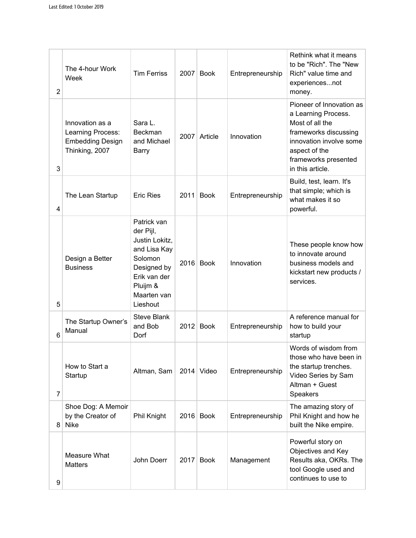| 2              | The 4-hour Work<br>Week                                                           | <b>Tim Ferriss</b>                                                                                                                          |      | 2007 Book    | Entrepreneurship | Rethink what it means<br>to be "Rich". The "New<br>Rich" value time and<br>experiencesnot<br>money.                                                                                 |
|----------------|-----------------------------------------------------------------------------------|---------------------------------------------------------------------------------------------------------------------------------------------|------|--------------|------------------|-------------------------------------------------------------------------------------------------------------------------------------------------------------------------------------|
| 3              | Innovation as a<br>Learning Process:<br><b>Embedding Design</b><br>Thinking, 2007 | Sara L.<br><b>Beckman</b><br>and Michael<br>Barry                                                                                           | 2007 | Article      | Innovation       | Pioneer of Innovation as<br>a Learning Process.<br>Most of all the<br>frameworks discussing<br>innovation involve some<br>aspect of the<br>frameworks presented<br>in this article. |
| 4              | The Lean Startup                                                                  | <b>Eric Ries</b>                                                                                                                            | 2011 | <b>Book</b>  | Entrepreneurship | Build, test, learn. It's<br>that simple; which is<br>what makes it so<br>powerful.                                                                                                  |
| 5              | Design a Better<br><b>Business</b>                                                | Patrick van<br>der Pijl,<br>Justin Lokitz,<br>and Lisa Kay<br>Solomon<br>Designed by<br>Erik van der<br>Pluijm &<br>Maarten van<br>Lieshout |      | $2016$ Book  | Innovation       | These people know how<br>to innovate around<br>business models and<br>kickstart new products /<br>services.                                                                         |
| 6              | The Startup Owner's<br>Manual                                                     | Steve Blank<br>and Bob<br>Dorf                                                                                                              |      | 2012 Book    | Entrepreneurship | A reference manual for<br>how to build your<br>startup                                                                                                                              |
| $\overline{7}$ | How to Start a<br>Startup                                                         | Altman, Sam                                                                                                                                 |      | $2014$ Video | Entrepreneurship | Words of wisdom from<br>those who have been in<br>the startup trenches.<br>Video Series by Sam<br>Altman + Guest<br>Speakers                                                        |
| 8              | Shoe Dog: A Memoir<br>by the Creator of<br><b>Nike</b>                            | Phil Knight                                                                                                                                 |      | $2016$ Book  | Entrepreneurship | The amazing story of<br>Phil Knight and how he<br>built the Nike empire.                                                                                                            |
| 9              | Measure What<br><b>Matters</b>                                                    | John Doerr                                                                                                                                  | 2017 | <b>Book</b>  | Management       | Powerful story on<br>Objectives and Key<br>Results aka, OKRs. The<br>tool Google used and<br>continues to use to                                                                    |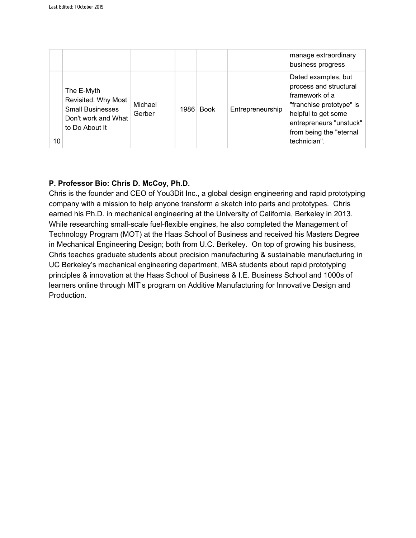|    |                                                                                                       |                   |             |                  | manage extraordinary<br>business progress                                                                                                                                                 |
|----|-------------------------------------------------------------------------------------------------------|-------------------|-------------|------------------|-------------------------------------------------------------------------------------------------------------------------------------------------------------------------------------------|
| 10 | The E-Myth<br>Revisited: Why Most<br><b>Small Businesses</b><br>Don't work and What<br>to Do About It | Michael<br>Gerber | 1986   Book | Entrepreneurship | Dated examples, but<br>process and structural<br>framework of a<br>"franchise prototype" is<br>helpful to get some<br>entrepreneurs "unstuck"<br>from being the "eternal"<br>technician". |

# **P. Professor Bio: Chris D. McCoy, Ph.D.**

Chris is the founder and CEO of You3Dit Inc., a global design engineering and rapid prototyping company with a mission to help anyone transform a sketch into parts and prototypes. Chris earned his Ph.D. in mechanical engineering at the University of California, Berkeley in 2013. While researching small-scale fuel-flexible engines, he also completed the Management of Technology Program (MOT) at the Haas School of Business and received his Masters Degree in Mechanical Engineering Design; both from U.C. Berkeley. On top of growing his business, Chris teaches graduate students about precision manufacturing & sustainable manufacturing in UC Berkeley's mechanical engineering department, MBA students about rapid prototyping principles & innovation at the Haas School of Business & I.E. Business School and 1000s of learners online through MIT's program on Additive Manufacturing for Innovative Design and Production.